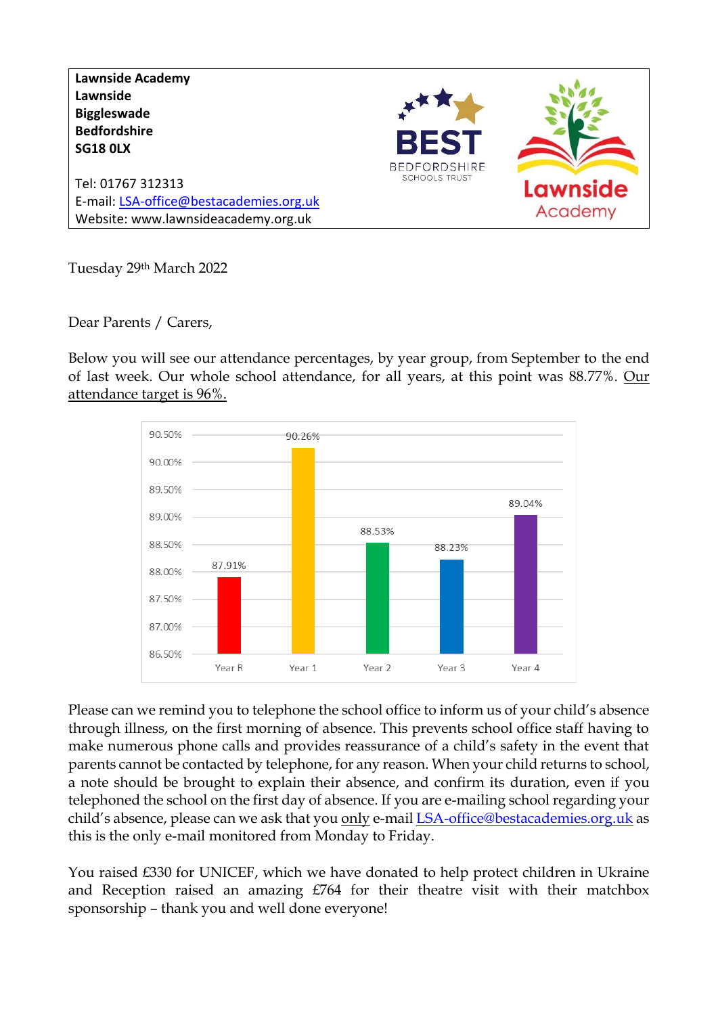**Lawnside Academy Lawnside Biggleswade Bedfordshire SG18 0LX BEDFORDSHIRE SCHOOLS TRUST** Tel: 01767 312313 Lawnsid E-mail[: LSA-office@bestacademies.org.uk](mailto:LSA-office@bestacademies.org.uk) Academy Website: www.lawnsideacademy.org.uk

Tuesday 29th March 2022

Dear Parents / Carers,

Below you will see our attendance percentages, by year group, from September to the end of last week. Our whole school attendance, for all years, at this point was 88.77%. Our attendance target is 96%.



Please can we remind you to telephone the school office to inform us of your child's absence through illness, on the first morning of absence. This prevents school office staff having to make numerous phone calls and provides reassurance of a child's safety in the event that parents cannot be contacted by telephone, for any reason. When your child returns to school, a note should be brought to explain their absence, and confirm its duration, even if you telephoned the school on the first day of absence. If you are e-mailing school regarding your child's absence, please can we ask that you only e-mail [LSA-office@bestacademies.org.uk](mailto:LSA-office@bestacademies.org.uk) as this is the only e-mail monitored from Monday to Friday.

You raised £330 for UNICEF, which we have donated to help protect children in Ukraine and Reception raised an amazing £764 for their theatre visit with their matchbox sponsorship – thank you and well done everyone!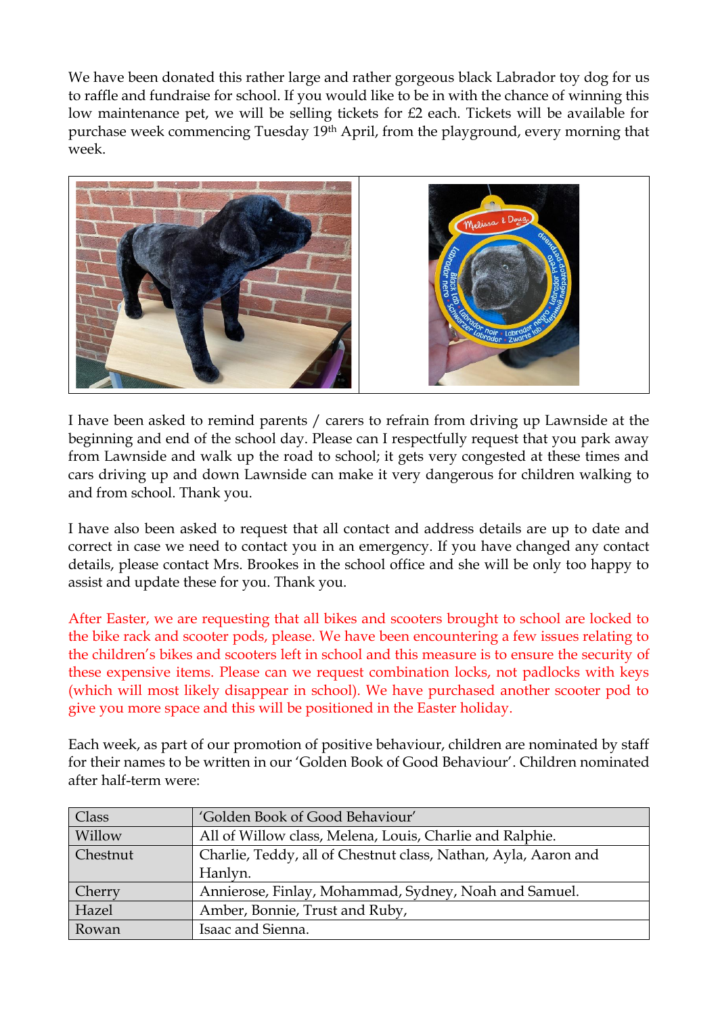We have been donated this rather large and rather gorgeous black Labrador toy dog for us to raffle and fundraise for school. If you would like to be in with the chance of winning this low maintenance pet, we will be selling tickets for £2 each. Tickets will be available for purchase week commencing Tuesday 19th April, from the playground, every morning that week.



I have been asked to remind parents / carers to refrain from driving up Lawnside at the beginning and end of the school day. Please can I respectfully request that you park away from Lawnside and walk up the road to school; it gets very congested at these times and cars driving up and down Lawnside can make it very dangerous for children walking to and from school. Thank you.

I have also been asked to request that all contact and address details are up to date and correct in case we need to contact you in an emergency. If you have changed any contact details, please contact Mrs. Brookes in the school office and she will be only too happy to assist and update these for you. Thank you.

After Easter, we are requesting that all bikes and scooters brought to school are locked to the bike rack and scooter pods, please. We have been encountering a few issues relating to the children's bikes and scooters left in school and this measure is to ensure the security of these expensive items. Please can we request combination locks, not padlocks with keys (which will most likely disappear in school). We have purchased another scooter pod to give you more space and this will be positioned in the Easter holiday.

Each week, as part of our promotion of positive behaviour, children are nominated by staff for their names to be written in our 'Golden Book of Good Behaviour'. Children nominated after half-term were:

| Class    | 'Golden Book of Good Behaviour'                                |  |
|----------|----------------------------------------------------------------|--|
| Willow   | All of Willow class, Melena, Louis, Charlie and Ralphie.       |  |
| Chestnut | Charlie, Teddy, all of Chestnut class, Nathan, Ayla, Aaron and |  |
|          | Hanlyn.                                                        |  |
| Cherry   | Annierose, Finlay, Mohammad, Sydney, Noah and Samuel.          |  |
| Hazel    | Amber, Bonnie, Trust and Ruby,                                 |  |
| Rowan    | Isaac and Sienna.                                              |  |